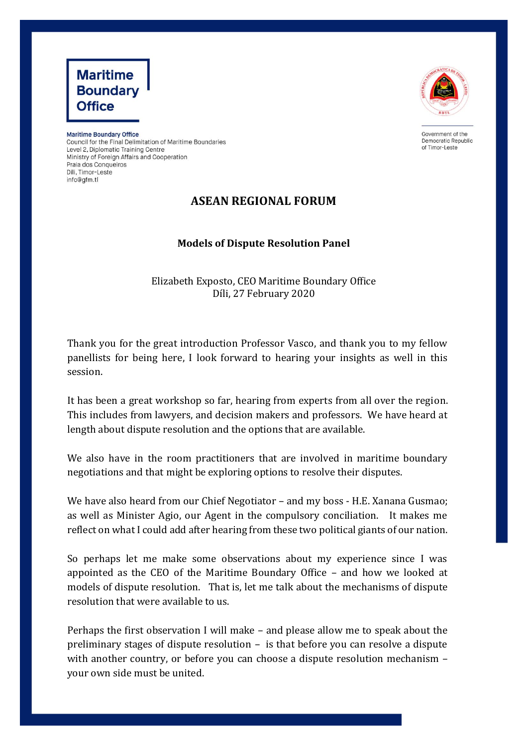



Government of the Democratic Republic of Timor-Leste

**Maritime Boundary Office** Council for the Final Delimitation of Maritime Boundaries Level 2, Diplomatic Training Centre Ministry of Foreign Affairs and Cooperation Praia dos Conqueiros Dili, Timor-Leste info@afm.tl

## **ASEAN REGIONAL FORUM**

## **Models of Dispute Resolution Panel**

Elizabeth Exposto, CEO Maritime Boundary Office Díli, 27 February 2020

Thank you for the great introduction Professor Vasco, and thank you to my fellow panellists for being here, I look forward to hearing your insights as well in this session.

It has been a great workshop so far, hearing from experts from all over the region. This includes from lawyers, and decision makers and professors. We have heard at length about dispute resolution and the options that are available.

We also have in the room practitioners that are involved in maritime boundary negotiations and that might be exploring options to resolve their disputes.

We have also heard from our Chief Negotiator – and my boss - H.E. Xanana Gusmao; as well as Minister Agio, our Agent in the compulsory conciliation. It makes me reflect on what I could add after hearing from these two political giants of our nation.

So perhaps let me make some observations about my experience since I was appointed as the CEO of the Maritime Boundary Office – and how we looked at models of dispute resolution. That is, let me talk about the mechanisms of dispute resolution that were available to us.

Perhaps the first observation I will make – and please allow me to speak about the preliminary stages of dispute resolution – is that before you can resolve a dispute with another country, or before you can choose a dispute resolution mechanism – your own side must be united.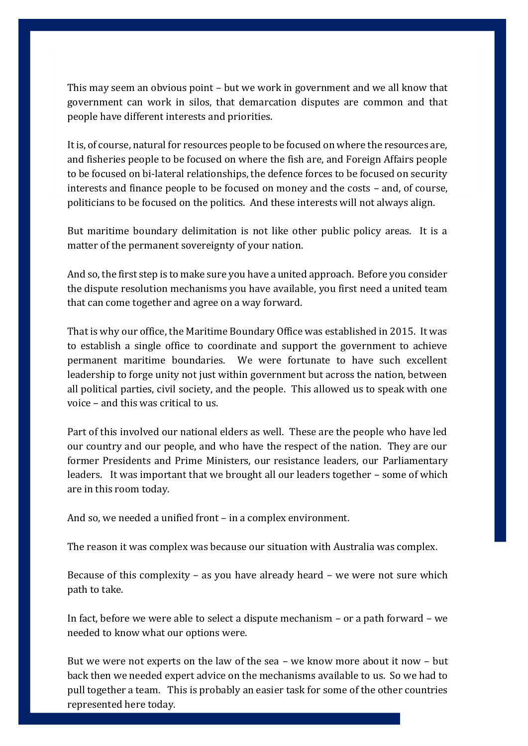This may seem an obvious point – but we work in government and we all know that government can work in silos, that demarcation disputes are common and that people have different interests and priorities.

It is, of course, natural for resources people to be focused on where the resources are, and fisheries people to be focused on where the fish are, and Foreign Affairs people to be focused on bi-lateral relationships, the defence forces to be focused on security interests and finance people to be focused on money and the costs – and, of course, politicians to be focused on the politics. And these interests will not always align.

But maritime boundary delimitation is not like other public policy areas. It is a matter of the permanent sovereignty of your nation.

And so, the first step is to make sure you have a united approach. Before you consider the dispute resolution mechanisms you have available, you first need a united team that can come together and agree on a way forward.

That is why our office, the Maritime Boundary Office was established in 2015. It was to establish a single office to coordinate and support the government to achieve permanent maritime boundaries. We were fortunate to have such excellent leadership to forge unity not just within government but across the nation, between all political parties, civil society, and the people. This allowed us to speak with one voice – and this was critical to us.

Part of this involved our national elders as well. These are the people who have led our country and our people, and who have the respect of the nation. They are our former Presidents and Prime Ministers, our resistance leaders, our Parliamentary leaders. It was important that we brought all our leaders together – some of which are in this room today.

And so, we needed a unified front – in a complex environment.

The reason it was complex was because our situation with Australia was complex.

Because of this complexity – as you have already heard – we were not sure which path to take.

In fact, before we were able to select a dispute mechanism – or a path forward – we needed to know what our options were.

But we were not experts on the law of the sea – we know more about it now – but back then we needed expert advice on the mechanisms available to us. So we had to pull together a team. This is probably an easier task for some of the other countries represented here today.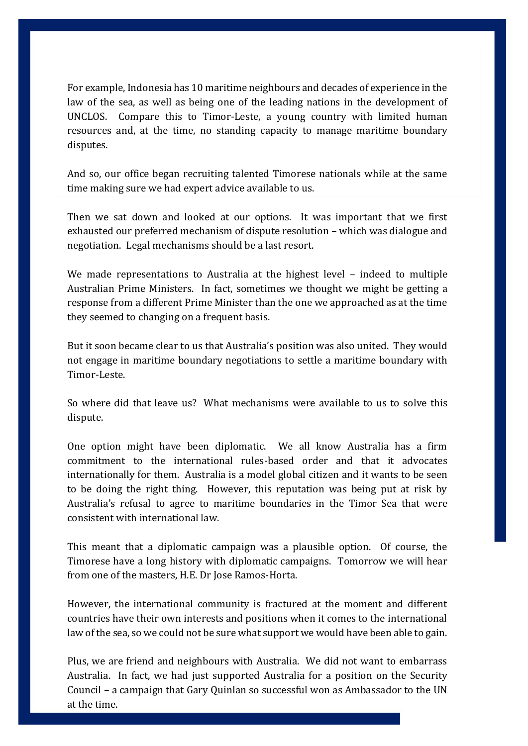For example, Indonesia has 10 maritime neighbours and decades of experience in the law of the sea, as well as being one of the leading nations in the development of UNCLOS. Compare this to Timor-Leste, a young country with limited human resources and, at the time, no standing capacity to manage maritime boundary disputes.

And so, our office began recruiting talented Timorese nationals while at the same time making sure we had expert advice available to us.

Then we sat down and looked at our options. It was important that we first exhausted our preferred mechanism of dispute resolution – which was dialogue and negotiation. Legal mechanisms should be a last resort.

We made representations to Australia at the highest level – indeed to multiple Australian Prime Ministers. In fact, sometimes we thought we might be getting a response from a different Prime Minister than the one we approached as at the time they seemed to changing on a frequent basis.

But it soon became clear to us that Australia's position was also united. They would not engage in maritime boundary negotiations to settle a maritime boundary with Timor-Leste.

So where did that leave us? What mechanisms were available to us to solve this dispute.

One option might have been diplomatic. We all know Australia has a firm commitment to the international rules-based order and that it advocates internationally for them. Australia is a model global citizen and it wants to be seen to be doing the right thing. However, this reputation was being put at risk by Australia's refusal to agree to maritime boundaries in the Timor Sea that were consistent with international law.

This meant that a diplomatic campaign was a plausible option. Of course, the Timorese have a long history with diplomatic campaigns. Tomorrow we will hear from one of the masters, H.E. Dr Jose Ramos-Horta.

However, the international community is fractured at the moment and different countries have their own interests and positions when it comes to the international law of the sea, so we could not be sure what support we would have been able to gain.

Plus, we are friend and neighbours with Australia. We did not want to embarrass Australia. In fact, we had just supported Australia for a position on the Security Council – a campaign that Gary Quinlan so successful won as Ambassador to the UN at the time.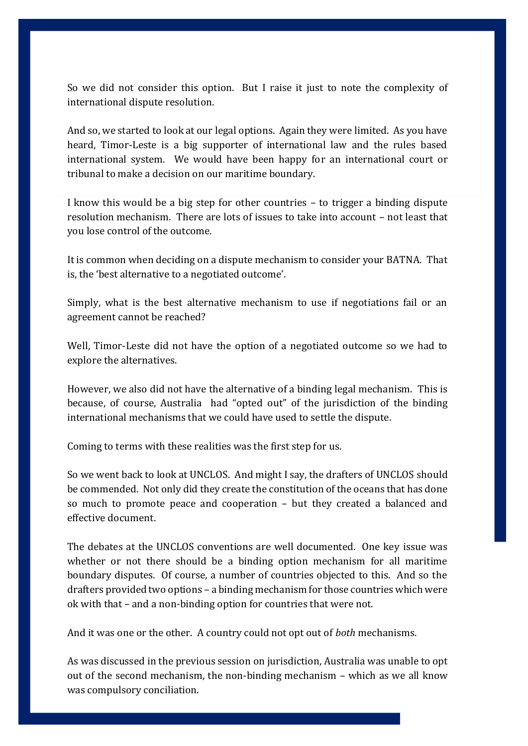So we did not consider this option. But I raise it just to note the complexity of international dispute resolution.

And so, we started to look at our legal options. Again they were limited. As you have heard, Timor-Leste is a big supporter of international law and the rules based international system. We would have been happy for an international court or tribunal to make a decision on our maritime boundary.

I know this would be a big step for other countries – to trigger a binding dispute resolution mechanism. There are lots of issues to take into account – not least that you lose control of the outcome.

It is common when deciding on a dispute mechanism to consider your BATNA. That is, the 'best alternative to a negotiated outcome'.

Simply, what is the best alternative mechanism to use if negotiations fail or an agreement cannot be reached?

Well, Timor-Leste did not have the option of a negotiated outcome so we had to explore the alternatives.

However, we also did not have the alternative of a binding legal mechanism. This is because, of course, Australia had "opted out" of the jurisdiction of the binding international mechanisms that we could have used to settle the dispute.

Coming to terms with these realities was the first step for us.

So we went back to look at UNCLOS. And might I say, the drafters of UNCLOS should be commended. Not only did they create the constitution of the oceans that has done so much to promote peace and cooperation – but they created a balanced and effective document.

The debates at the UNCLOS conventions are well documented. One key issue was whether or not there should be a binding option mechanism for all maritime boundary disputes. Of course, a number of countries objected to this. And so the drafters provided two options – a binding mechanism for those countries which were ok with that – and a non-binding option for countries that were not.

And it was one or the other. A country could not opt out of *both* mechanisms.

As was discussed in the previous session on jurisdiction, Australia was unable to opt out of the second mechanism, the non-binding mechanism – which as we all know was compulsory conciliation.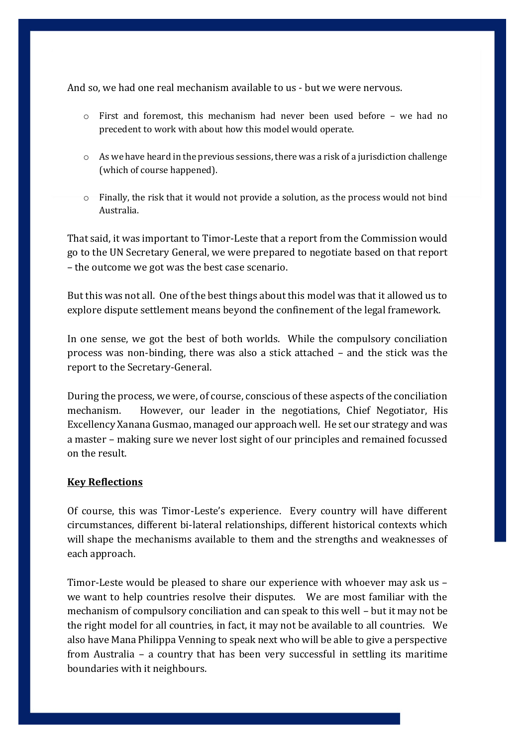And so, we had one real mechanism available to us - but we were nervous.

- o First and foremost, this mechanism had never been used before we had no precedent to work with about how this model would operate.
- o As we have heard in the previous sessions, there was a risk of a jurisdiction challenge (which of course happened).
- o Finally, the risk that it would not provide a solution, as the process would not bind Australia.

That said, it was important to Timor-Leste that a report from the Commission would go to the UN Secretary General, we were prepared to negotiate based on that report – the outcome we got was the best case scenario.

But this was not all. One of the best things about this model was that it allowed us to explore dispute settlement means beyond the confinement of the legal framework.

In one sense, we got the best of both worlds. While the compulsory conciliation process was non-binding, there was also a stick attached – and the stick was the report to the Secretary-General.

During the process, we were, of course, conscious of these aspects of the conciliation mechanism. However, our leader in the negotiations, Chief Negotiator, His Excellency Xanana Gusmao, managed our approach well. He set our strategy and was a master – making sure we never lost sight of our principles and remained focussed on the result.

## **Key Reflections**

Of course, this was Timor-Leste's experience. Every country will have different circumstances, different bi-lateral relationships, different historical contexts which will shape the mechanisms available to them and the strengths and weaknesses of each approach.

Timor-Leste would be pleased to share our experience with whoever may ask us – we want to help countries resolve their disputes. We are most familiar with the mechanism of compulsory conciliation and can speak to this well – but it may not be the right model for all countries, in fact, it may not be available to all countries. We also have Mana Philippa Venning to speak next who will be able to give a perspective from Australia – a country that has been very successful in settling its maritime boundaries with it neighbours.